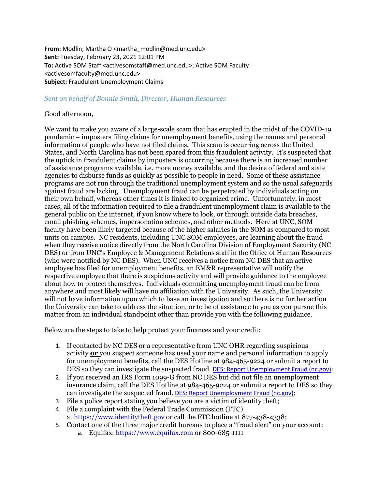From: Modlin, Martha O <martha\_modlin@med.unc.edu> **Sent:** Tuesday, February 23, 2021 12:01 PM **To:** Active SOM Staff <activesomstaff@med.unc.edu>: Active SOM Faculty <activesomfaculty@med.unc.edu> **Subject:** Fraudulent Unemployment Claims

## *Sent on behalf of Bonnie Smith, Director, Human Resources*

## Good afternoon,

We want to make you aware of a large-scale scam that has erupted in the midst of the COVID-19 pandemic – imposters filing claims for unemployment benefits, using the names and personal information of people who have not filed claims. This scam is occurring across the United States, and North Carolina has not been spared from this fraudulent activity. It's suspected that the uptick in fraudulent claims by imposters is occurring because there is an increased number of assistance programs available, i.e. more money available, and the desire of federal and state agencies to disburse funds as quickly as possible to people in need. Some of these assistance programs are not run through the traditional unemployment system and so the usual safeguards against fraud are lacking. Unemployment fraud can be perpetrated by individuals acting on their own behalf, whereas other times it is linked to organized crime. Unfortunately, in most cases, all of the information required to file a fraudulent unemployment claim is available to the general public on the internet, if you know where to look, or through outside data breaches, email phishing schemes, impersonation schemes, and other methods. Here at UNC, SOM faculty have been likely targeted because of the higher salaries in the SOM as compared to most units on campus. NC residents, including UNC SOM employees, are learning about the fraud when they receive notice directly from the North Carolina Division of Employment Security (NC DES) or from UNC's Employee & Management Relations staff in the Office of Human Resources (who were notified by NC DES). When UNC receives a notice from NC DES that an active employee has filed for unemployment benefits, an EM&R representative will notify the respective employee that there is suspicious activity and will provide guidance to the employee about how to protect themselves. Individuals committing unemployment fraud can be from anywhere and most likely will have no affiliation with the University. As such, the University will not have information upon which to base an investigation and so there is no further action the University can take to address the situation, or to be of assistance to you as you pursue this matter from an individual standpoint other than provide you with the following guidance.

Below are the steps to take to help protect your finances and your credit:

- 1. If contacted by NC DES or a representative from UNC OHR regarding suspicious activity **or** you suspect someone has used your name and personal information to apply for unemployment benefits, call the DES Hotline at 984-465-9224 or submit a report to DES so they can investigate the suspected fraud. DES: Report [Unemployment](https://des.nc.gov/report-unemployment-fraud) Fraud (nc.gov);
- 2. If you received an IRS Form 1099-G from NC DES but did not file an unemployment insurance claim, call the DES Hotline at 984-465-9224 or submit a report to DES so they can investigate the suspected fraud. DES: Report [Unemployment](https://des.nc.gov/report-unemployment-fraud) Fraud (nc.gov);
- 3. File a police report stating you believe you are a victim of identity theft;
- 4. File a complaint with the Federal Trade Commission (FTC) at [https://www.identitytheft.gov](https://www.identitytheft.gov/) or call the FTC hotline at 877-438-4338;
- 5. Contact one of the three major credit bureaus to place a "fraud alert" on your account:
	- a. Equifax:  $\frac{https://www.equifax.com}{https://www.equifax.com}$  $\frac{https://www.equifax.com}{https://www.equifax.com}$  $\frac{https://www.equifax.com}{https://www.equifax.com}$  or 800-685-1111